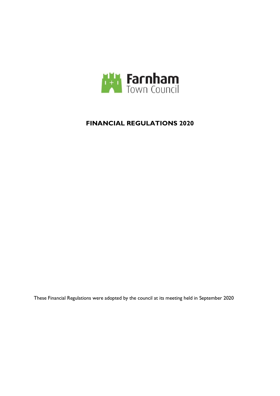

# **FINANCIAL REGULATIONS 2020**

These Financial Regulations were adopted by the council at its meeting held in September 2020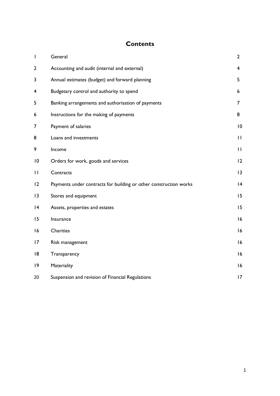# **Contents**

| T               | General                                                           | $\overline{2}$ |
|-----------------|-------------------------------------------------------------------|----------------|
| $\overline{2}$  | Accounting and audit (internal and external)                      | 4              |
| 3               | Annual estimates (budget) and forward planning                    | 5              |
| 4               | Budgetary control and authority to spend                          | 6              |
| 5               | Banking arrangements and authorisation of payments                | $\overline{7}$ |
| 6               | Instructions for the making of payments                           | 8              |
| 7               | Payment of salaries                                               | 10             |
| 8               | Loans and investments                                             | $\mathbf{H}$   |
| 9               | Income                                                            | $\mathbf{H}$   |
| $\overline{10}$ | Orders for work, goods and services                               | 12             |
| П               | Contracts                                                         | 13             |
| 12              | Payments under contracts for building or other construction works | 4              |
| 3               | Stores and equipment                                              | 15             |
| 4               | Assets, properties and estates                                    | 15             |
| 15              | Insurance                                                         | 16             |
| 16              | <b>Charities</b>                                                  | 16             |
| 17              | Risk management                                                   | 16             |
| 18              | Transparency                                                      | 16             |
| 9               | Materiality                                                       | 16             |
| 20              | Suspension and revision of Financial Regulations                  | 17             |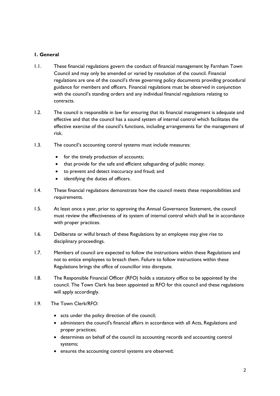## **1. General**

- 1.1. These financial regulations govern the conduct of financial management by Farnham Town Council and may only be amended or varied by resolution of the council. Financial regulations are one of the council's three governing policy documents providing procedural guidance for members and officers. Financial regulations must be observed in conjunction with the council's standing orders and any individual financial regulations relating to contracts.
- 1.2. The council is responsible in law for ensuring that its financial management is adequate and effective and that the council has a sound system of internal control which facilitates the effective exercise of the council's functions, including arrangements for the management of risk.
- 1.3. The council's accounting control systems must include measures:
	- for the timely production of accounts;
	- that provide for the safe and efficient safeguarding of public money;
	- to prevent and detect inaccuracy and fraud; and
	- identifying the duties of officers.
- 1.4. These financial regulations demonstrate how the council meets these responsibilities and requirements.
- 1.5. At least once a year, prior to approving the Annual Governance Statement, the council must review the effectiveness of its system of internal control which shall be in accordance with proper practices.
- 1.6. Deliberate or wilful breach of these Regulations by an employee may give rise to disciplinary proceedings.
- 1.7. Members of council are expected to follow the instructions within these Regulations and not to entice employees to breach them. Failure to follow instructions within these Regulations brings the office of councillor into disrepute.
- 1.8. The Responsible Financial Officer (RFO) holds a statutory office to be appointed by the council. The Town Clerk has been appointed as RFO for this council and these regulations will apply accordingly.
- 1.9. The Town Clerk/RFO:
	- acts under the policy direction of the council;
	- administers the council's financial affairs in accordance with all Acts, Regulations and proper practices;
	- determines on behalf of the council its accounting records and accounting control systems;
	- ensures the accounting control systems are observed;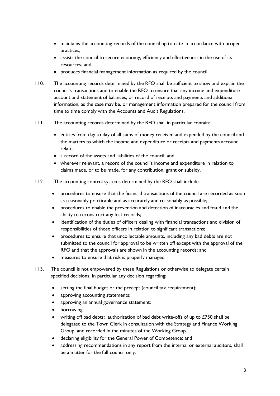- maintains the accounting records of the council up to date in accordance with proper practices;
- assists the council to secure economy, efficiency and effectiveness in the use of its resources; and
- produces financial management information as required by the council.
- 1.10. The accounting records determined by the RFO shall be sufficient to show and explain the council's transactions and to enable the RFO to ensure that any income and expenditure account and statement of balances, or record of receipts and payments and additional information, as the case may be, or management information prepared for the council from time to time comply with the Accounts and Audit Regulations.
- 1.11. The accounting records determined by the RFO shall in particular contain:
	- entries from day to day of all sums of money received and expended by the council and the matters to which the income and expenditure or receipts and payments account relate;
	- a record of the assets and liabilities of the council; and
	- wherever relevant, a record of the council's income and expenditure in relation to claims made, or to be made, for any contribution, grant or subsidy.
- 1.12. The accounting control systems determined by the RFO shall include:
	- procedures to ensure that the financial transactions of the council are recorded as soon as reasonably practicable and as accurately and reasonably as possible;
	- procedures to enable the prevention and detection of inaccuracies and fraud and the ability to reconstruct any lost records;
	- identification of the duties of officers dealing with financial transactions and division of responsibilities of those officers in relation to significant transactions;
	- procedures to ensure that uncollectable amounts, including any bad debts are not submitted to the council for approval to be written off except with the approval of the RFO and that the approvals are shown in the accounting records; and
	- measures to ensure that risk is properly managed.
- 1.13. The council is not empowered by these Regulations or otherwise to delegate certain specified decisions. In particular any decision regarding:
	- setting the final budget or the precept (council tax requirement);
	- approving accounting statements;
	- approving an annual governance statement:
	- borrowing;
	- writing off bad debts: authorisation of bad debt write-offs of up to £750 shall be delegated to the Town Clerk in consultation with the Strategy and Finance Working Group, and recorded in the minutes of the Working Group.
	- declaring eligibility for the General Power of Competence; and
	- addressing recommendations in any report from the internal or external auditors, shall be a matter for the full council only.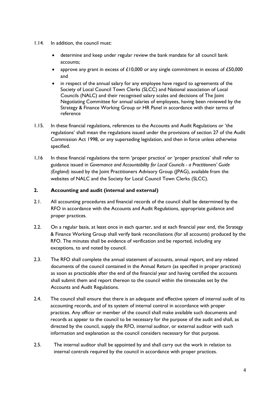- 1.14. In addition, the council must:
	- determine and keep under regular review the bank mandate for all council bank accounts;
	- approve any grant in excess of £10,000 or any single commitment in excess of £50,000 and
	- in respect of the annual salary for any employee have regard to agreements of the Society of Local Council Town Clerks (SLCC) and National association of Local Councils (NALC) and their recognised salary scales and decisions of The Joint Negotiating Committee for annual salaries of employees, having been reviewed by the Strategy & Finance Working Group or HR Panel in accordance with their terms of reference
- 1.15. In these financial regulations, references to the Accounts and Audit Regulations or 'the regulations' shall mean the regulations issued under the provisions of section 27 of the Audit Commission Act 1998, or any superseding legislation, and then in force unless otherwise specified.
- 1,16 In these financial regulations the term 'proper practice' or 'proper practices' shall refer to guidance issued in *Governance and Accountability for Local Councils - a Practitioners' Guide (England)* issued by the Joint Practitioners Advisory Group (JPAG), available from the websites of NALC and the Society for Local Council Town Clerks (SLCC).

## **2. Accounting and audit (internal and external)**

- 2.1. All accounting procedures and financial records of the council shall be determined by the RFO in accordance with the Accounts and Audit Regulations, appropriate guidance and proper practices.
- 2.2. On a regular basis, at least once in each quarter, and at each financial year end, the Strategy & Finance Working Group shall verify bank reconciliations (for all accounts) produced by the RFO. The minutes shall be evidence of verification and be reported, including any exceptions, to and noted by council.
- 2.3. The RFO shall complete the annual statement of accounts, annual report, and any related documents of the council contained in the Annual Return (as specified in proper practices) as soon as practicable after the end of the financial year and having certified the accounts shall submit them and report thereon to the council within the timescales set by the Accounts and Audit Regulations.
- 2.4. The council shall ensure that there is an adequate and effective system of internal audit of its accounting records, and of its system of internal control in accordance with proper practices. Any officer or member of the council shall make available such documents and records as appear to the council to be necessary for the purpose of the audit and shall, as directed by the council, supply the RFO, internal auditor, or external auditor with such information and explanation as the council considers necessary for that purpose.
- 2.5. The internal auditor shall be appointed by and shall carry out the work in relation to internal controls required by the council in accordance with proper practices.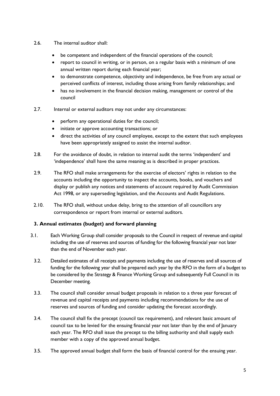- 2.6. The internal auditor shall:
	- be competent and independent of the financial operations of the council;
	- report to council in writing, or in person, on a regular basis with a minimum of one annual written report during each financial year;
	- to demonstrate competence, objectivity and independence, be free from any actual or perceived conflicts of interest, including those arising from family relationships; and
	- has no involvement in the financial decision making, management or control of the council
- 2.7. Internal or external auditors may not under any circumstances:
	- perform any operational duties for the council;
	- initiate or approve accounting transactions; or
	- direct the activities of any council employee, except to the extent that such employees have been appropriately assigned to assist the internal auditor.
- 2.8. For the avoidance of doubt, in relation to internal audit the terms 'independent' and 'independence' shall have the same meaning as is described in proper practices.
- 2.9. The RFO shall make arrangements for the exercise of electors' rights in relation to the accounts including the opportunity to inspect the accounts, books, and vouchers and display or publish any notices and statements of account required by Audit Commission Act 1998, or any superseding legislation, and the Accounts and Audit Regulations.
- 2.10. The RFO shall, without undue delay, bring to the attention of all councillors any correspondence or report from internal or external auditors.

# **3. Annual estimates (budget) and forward planning**

- 3.1. Each Working Group shall consider proposals to the Council in respect of revenue and capital including the use of reserves and sources of funding for the following financial year not later than the end of November each year.
	- 3.2. Detailed estimates of all receipts and payments including the use of reserves and all sources of funding for the following year shall be prepared each year by the RFO in the form of a budget to be considered by the Strategy & Finance Working Group and subsequently Full Council in its December meeting.
	- 3.3. The council shall consider annual budget proposals in relation to a three year forecast of revenue and capital receipts and payments including recommendations for the use of reserves and sources of funding and consider updating the forecast accordingly.
	- 3.4. The council shall fix the precept (council tax requirement), and relevant basic amount of council tax to be levied for the ensuing financial year not later than by the end of January each year. The RFO shall issue the precept to the billing authority and shall supply each member with a copy of the approved annual budget.
	- 3.5. The approved annual budget shall form the basis of financial control for the ensuing year.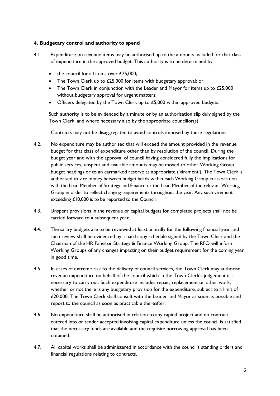## **4. Budgetary control and authority to spend**

- 4.1. Expenditure on revenue items may be authorised up to the amounts included for that class of expenditure in the approved budget. This authority is to be determined by:
	- the council for all items over £25,000;
	- The Town Clerk up to £25,000 for items with budgetary approval; or
	- The Town Clerk in conjunction with the Leader and Mayor for items up to £25,000 without budgetary approval for urgent matters;
	- Officers delegated by the Town Clerk up to £5,000 within approved budgets.

Such authority is to be evidenced by a minute or by an authorisation slip duly signed by the Town Clerk, and where necessary also by the appropriate councillor(s).

Contracts may not be disaggregated to avoid controls imposed by these regulations.

- 4.2. No expenditure may be authorised that will exceed the amount provided in the revenue budget for that class of expenditure other than by resolution of the council. During the budget year and with the approval of council having considered fully the implications for public services, unspent and available amounts may be moved to other Working Group budget headings or to an earmarked reserve as appropriate ('virement'). The Town Clerk is authorised to vire money between budget heads within each Working Group in association with the Lead Member of Strategy and Finance or the Lead Member of the relevant Working Group in order to reflect changing requirements throughout the year. Any such virement exceeding £10,000 is to be reported to the Council.
- 4.3. Unspent provisions in the revenue or capital budgets for completed projects shall not be carried forward to a subsequent year.
- 4.4. The salary budgets are to be reviewed at least annually for the following financial year and such review shall be evidenced by a hard copy schedule signed by the Town Clerk and the Chairman of the HR Panel or Strategy & Finance Working Group. The RFO will inform Working Groups of any changes impacting on their budget requirement for the coming year in good time.
- 4.5. In cases of extreme risk to the delivery of council services, the Town Clerk may authorise revenue expenditure on behalf of the council which in the Town Clerk's judgement it is necessary to carry out. Such expenditure includes repair, replacement or other work, whether or not there is any budgetary provision for the expenditure, subject to a limit of £20,000. The Town Clerk shall consult with the Leader and Mayor as soon as possible and report to the council as soon as practicable thereafter.
- 4.6. No expenditure shall be authorised in relation to any capital project and no contract entered into or tender accepted involving capital expenditure unless the council is satisfied that the necessary funds are available and the requisite borrowing approval has been obtained.
- 4.7. All capital works shall be administered in accordance with the council's standing orders and financial regulations relating to contracts.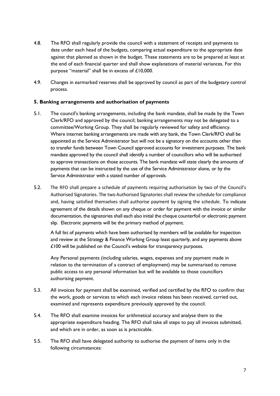- 4.8. The RFO shall regularly provide the council with a statement of receipts and payments to date under each head of the budgets, comparing actual expenditure to the appropriate date against that planned as shown in the budget. These statements are to be prepared at least at the end of each financial quarter and shall show explanations of material variances. For this purpose "material" shall be in excess of £10,000.
- 4.9. Changes in earmarked reserves shall be approved by council as part of the budgetary control process.

#### **5. Banking arrangements and authorisation of payments**

- 5.1. The council's banking arrangements, including the bank mandate, shall be made by the Town Clerk/RFO and approved by the council; banking arrangements may not be delegated to a committee/Working Group. They shall be regularly reviewed for safety and efficiency. Where internet banking arrangements are made with any bank, the Town Clerk/RFO shall be appointed as the Service Administrator but will not be a signatory on the accounts other than to transfer funds between Town Council approved accounts for investment purposes. The bank mandate approved by the council shall identify a number of councillors who will be authorised to approve transactions on those accounts. The bank mandate will state clearly the amounts of payments that can be instructed by the use of the Service Administrator alone, or by the Service Administrator with a stated number of approvals.
- 5.2. The RFO shall prepare a schedule of payments requiring authorisation by two of the Council's Authorised Signatories. The two Authorised Signatories shall review the schedule for compliance and, having satisfied themselves shall authorise payment by signing the schedule. To indicate agreement of the details shown on any cheque or order for payment with the invoice or similar documentation, the signatories shall each also initial the cheque counterfoil or electronic payment slip. Electronic payments will be the primary method of payment.

A full list of payments which have been authorised by members will be available for inspection and review at the Strategy & Finance Working Group least quarterly, and any payments above £100 will be published on the Council's website for transparency purposes.

Any Personal payments (including salaries, wages, expenses and any payment made in relation to the termination of a contract of employment) may be summarised to remove public access to any personal information but will be available to those councillors authorising payment.

- 5.3. All invoices for payment shall be examined, verified and certified by the RFO to confirm that the work, goods or services to which each invoice relates has been received, carried out, examined and represents expenditure previously approved by the council.
- 5.4. The RFO shall examine invoices for arithmetical accuracy and analyse them to the appropriate expenditure heading. The RFO shall take all steps to pay all invoices submitted, and which are in order, as soon as is practicable.
- 5.5. The RFO shall have delegated authority to authorise the payment of items only in the following circumstances: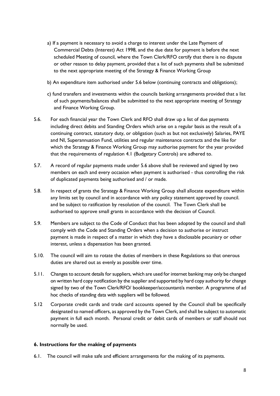- a) If a payment is necessary to avoid a charge to interest under the Late Payment of Commercial Debts (Interest) Act 1998, and the due date for payment is before the next scheduled Meeting of council, where the Town Clerk/RFO certify that there is no dispute or other reason to delay payment, provided that a list of such payments shall be submitted to the next appropriate meeting of the Strategy & Finance Working Group
- b) An expenditure item authorised under 5.6 below (continuing contracts and obligations);
- c) fund transfers and investments within the councils banking arrangements provided that a list of such payments/balances shall be submitted to the next appropriate meeting of Strategy and Finance Working Group.
- 5.6. For each financial year the Town Clerk and RFO shall draw up a list of due payments including direct debits and Standing Orders which arise on a regular basis as the result of a continuing contract, statutory duty, or obligation (such as but not exclusively) Salaries, PAYE and NI, Superannuation Fund, utilities and regular maintenance contracts and the like for which the Strategy & Finance Working Group may authorise payment for the year provided that the requirements of regulation 4.1 (Budgetary Controls) are adhered to.
- 5.7. A record of regular payments made under 5.6 above shall be reviewed and signed by two members on each and every occasion when payment is authorised - thus controlling the risk of duplicated payments being authorised and / or made.
- 5.8. In respect of grants the Strategy & Finance Working Group shall allocate expenditure within any limits set by council and in accordance with any policy statement approved by council. and be subject to ratification by resolution of the council. The Town Clerk shall be authorised to approve small grants in accordance with the decision of Council.
- 5.9. Members are subject to the Code of Conduct that has been adopted by the council and shall comply with the Code and Standing Orders when a decision to authorise or instruct payment is made in respect of a matter in which they have a disclosable pecuniary or other interest, unless a dispensation has been granted.
- 5.10. The council will aim to rotate the duties of members in these Regulations so that onerous duties are shared out as evenly as possible over time.
- 5.11. Changes to account details for suppliers, which are used for internet banking may only be changed on written hard copy notification by the supplier and supported by hard copy authority for change signed by two of the Town Clerk/RFO/ bookkeeper/accountant/a member. A programme of ad hoc checks of standing data with suppliers will be followed.
- 5.12 Corporate credit cards and trade card accounts opened by the Council shall be specifically designated to named officers, as approved by the Town Clerk, and shall be subject to automatic payment in full each month. Personal credit or debit cards of members or staff should not normally be used.

#### **6. Instructions for the making of payments**

6.1. The council will make safe and efficient arrangements for the making of its payments.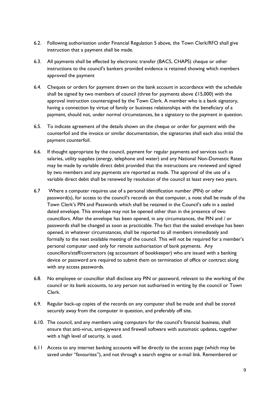- 6.2. Following authorisation under Financial Regulation 5 above, the Town Clerk/RFO shall give instruction that a payment shall be made.
- 6.3. All payments shall be effected by electronic transfer (BACS, CHAPS) cheque or other instructions to the council's bankers provided evidence is retained showing which members approved the payment
- 6.4. Cheques or orders for payment drawn on the bank account in accordance with the schedule shall be signed by two members of council (three for payments above  $\pounds$ 15,000) with the approval instruction countersigned by the Town Clerk. A member who is a bank signatory, having a connection by virtue of family or business relationships with the beneficiary of a payment, should not, under normal circumstances, be a signatory to the payment in question.
- 6.5. To indicate agreement of the details shown on the cheque or order for payment with the counterfoil and the invoice or similar documentation, the signatories shall each also initial the payment counterfoil.
- 6.6. If thought appropriate by the council, payment for regular payments and services such as salaries, utility supplies (energy, telephone and water) and any National Non-Domestic Rates may be made by variable direct debit provided that the instructions are reviewed and signed by two members and any payments are reported as made. The approval of the use of a variable direct debit shall be renewed by resolution of the council at least every two years.
- 6.7 Where a computer requires use of a personal identification number (PIN) or other password(s), for access to the council's records on that computer, a note shall be made of the Town Clerk's PIN and Passwords which shall be retained in the Council's safe in a sealed dated envelope. This envelope may not be opened other than in the presence of two councillors. After the envelope has been opened, in any circumstances, the PIN and / or passwords shall be changed as soon as practicable. The fact that the sealed envelope has been opened, in whatever circumstances, shall be reported to all members immediately and formally to the next available meeting of the council. This will not be required for a member's personal computer used only for remote authorisation of bank payments. Any councillors/staff/contractors (eg accountant of bookkeeper) who are issued with a banking device or password are required to submit them on termination of office or contract along with any access passwords.
- 6.8. No employee or councillor shall disclose any PIN or password, relevant to the working of the council or its bank accounts, to any person not authorised in writing by the council or Town Clerk.
- 6.9. Regular back-up copies of the records on any computer shall be made and shall be stored securely away from the computer in question, and preferably off site.
- 6.10. The council, and any members using computers for the council's financial business, shall ensure that anti-virus, anti-spyware and firewall software with automatic updates, together with a high level of security, is used.
- 6.11 Access to any internet banking accounts will be directly to the access page (which may be saved under "favourites"), and not through a search engine or e-mail link. Remembered or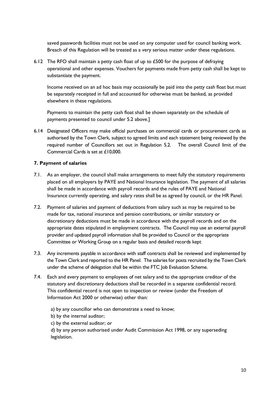saved passwords facilities must not be used on any computer used for council banking work. Breach of this Regulation will be treated as a very serious matter under these regulations.

6.12 The RFO shall maintain a petty cash float of up to £500 for the purpose of defraying operational and other expenses. Vouchers for payments made from petty cash shall be kept to substantiate the payment.

Income received on an ad hoc basis may occasionally be paid into the petty cash float but must be separately receipted in full and accounted for otherwise must be banked, as provided elsewhere in these regulations.

Payments to maintain the petty cash float shall be shown separately on the schedule of payments presented to council under 5.2 above.]

6.14 Designated Officers may make official purchases on commercial cards or procurement cards as authorised by the Town Clerk, subject to agreed limits and each statement being reviewed by the required number of Councillors set out in Regulation 5.2. The overall Council limit of the Commercial Cards is set at £10,000.

#### **7. Payment of salaries**

- 7.1. As an employer, the council shall make arrangements to meet fully the statutory requirements placed on all employers by PAYE and National Insurance legislation. The payment of all salaries shall be made in accordance with payroll records and the rules of PAYE and National Insurance currently operating, and salary rates shall be as agreed by council, or the HR Panel.
- 7.2. Payment of salaries and payment of deductions from salary such as may be required to be made for tax, national insurance and pension contributions, or similar statutory or discretionary deductions must be made in accordance with the payroll records and on the appropriate dates stipulated in employment contracts. The Council may use an external payroll provider and updated payroll information shall be provided to Council or the appropriate Committee or Working Group on a regular basis and detailed records kept
- 7.3. Any increments payable in accordance with staff contracts shall be reviewed and implemented by the Town Clerk and reported to the HR Panel. The salaries for posts recruited by the Town Clerk under the scheme of delegation shall be within the FTC Job Evaluation Scheme.
- 7.4. Each and every payment to employees of net salary and to the appropriate creditor of the statutory and discretionary deductions shall be recorded in a separate confidential record. This confidential record is not open to inspection or review (under the Freedom of Information Act 2000 or otherwise) other than:

a) by any councillor who can demonstrate a need to know;

b) by the internal auditor;

c) by the external auditor; or

d) by any person authorised under Audit Commission Act 1998, or any superseding legislation.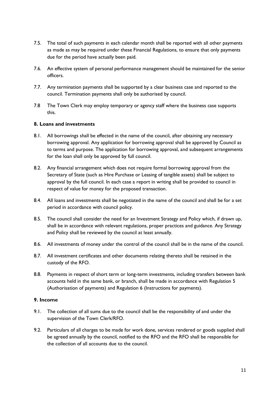- 7.5. The total of such payments in each calendar month shall be reported with all other payments as made as may be required under these Financial Regulations, to ensure that only payments due for the period have actually been paid.
- 7.6. An effective system of personal performance management should be maintained for the senior officers.
- 7.7. Any termination payments shall be supported by a clear business case and reported to the council. Termination payments shall only be authorised by council.
- 7.8 The Town Clerk may employ temporary or agency staff where the business case supports this.

#### **8. Loans and investments**

- 8.1. All borrowings shall be effected in the name of the council, after obtaining any necessary borrowing approval. Any application for borrowing approval shall be approved by Council as to terms and purpose. The application for borrowing approval, and subsequent arrangements for the loan shall only be approved by full council.
- 8.2. Any financial arrangement which does not require formal borrowing approval from the Secretary of State (such as Hire Purchase or Leasing of tangible assets) shall be subject to approval by the full council. In each case a report in writing shall be provided to council in respect of value for money for the proposed transaction.
- 8.4. All loans and investments shall be negotiated in the name of the council and shall be for a set period in accordance with council policy.
- 8.5. The council shall consider the need for an Investment Strategy and Policy which, if drawn up, shall be in accordance with relevant regulations, proper practices and guidance. Any Strategy and Policy shall be reviewed by the council at least annually.
- 8.6. All investments of money under the control of the council shall be in the name of the council.
- 8.7. All investment certificates and other documents relating thereto shall be retained in the custody of the RFO.
- 8.8. Payments in respect of short term or long-term investments, including transfers between bank accounts held in the same bank, or branch, shall be made in accordance with Regulation 5 (Authorisation of payments) and Regulation 6 (Instructions for payments).

#### **9. Income**

- 9.1. The collection of all sums due to the council shall be the responsibility of and under the supervision of the Town Clerk/RFO.
- 9.2. Particulars of all charges to be made for work done, services rendered or goods supplied shall be agreed annually by the council, notified to the RFO and the RFO shall be responsible for the collection of all accounts due to the council.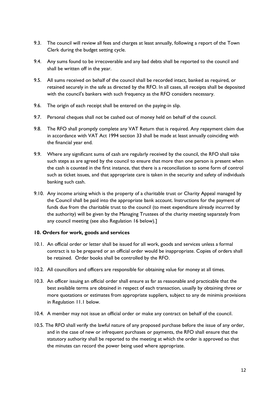- 9.3. The council will review all fees and charges at least annually, following a report of the Town Clerk during the budget setting cycle.
- 9.4. Any sums found to be irrecoverable and any bad debts shall be reported to the council and shall be written off in the year.
- 9.5. All sums received on behalf of the council shall be recorded intact, banked as required, or retained securely in the safe as directed by the RFO. In all cases, all receipts shall be deposited with the council's bankers with such frequency as the RFO considers necessary.
- 9.6. The origin of each receipt shall be entered on the paying-in slip.
- 9.7. Personal cheques shall not be cashed out of money held on behalf of the council.
- 9.8. The RFO shall promptly complete any VAT Return that is required. Any repayment claim due in accordance with VAT Act 1994 section 33 shall be made at least annually coinciding with the financial year end.
- 9.9. Where any significant sums of cash are regularly received by the council, the RFO shall take such steps as are agreed by the council to ensure that more than one person is present when the cash is counted in the first instance, that there is a reconciliation to some form of control such as ticket issues, and that appropriate care is taken in the security and safety of individuals banking such cash.
- 9.10. Any income arising which is the property of a charitable trust or Charity Appeal managed by the Council shall be paid into the appropriate bank account. Instructions for the payment of funds due from the charitable trust to the council (to meet expenditure already incurred by the authority) will be given by the Managing Trustees of the charity meeting separately from any council meeting (see also Regulation 16 below).]

#### **10. Orders for work, goods and services**

- 10.1. An official order or letter shall be issued for all work, goods and services unless a formal contract is to be prepared or an official order would be inappropriate. Copies of orders shall be retained. Order books shall be controlled by the RFO.
- 10.2. All councillors and officers are responsible for obtaining value for money at all times.
- 10.3. An officer issuing an official order shall ensure as far as reasonable and practicable that the best available terms are obtained in respect of each transaction, usually by obtaining three or more quotations or estimates from appropriate suppliers, subject to any de minimis provisions in Regulation 11.1 below.
- 10.4. A member may not issue an official order or make any contract on behalf of the council.
- 10.5. The RFO shall verify the lawful nature of any proposed purchase before the issue of any order, and in the case of new or infrequent purchases or payments, the RFO shall ensure that the statutory authority shall be reported to the meeting at which the order is approved so that the minutes can record the power being used where appropriate.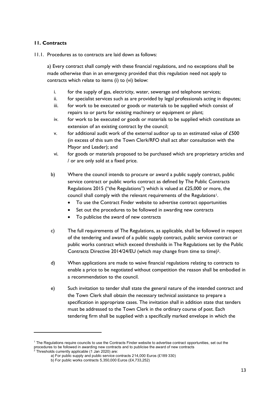## **11. Contracts**

11.1. Procedures as to contracts are laid down as follows:

a) Every contract shall comply with these financial regulations, and no exceptions shall be made otherwise than in an emergency provided that this regulation need not apply to contracts which relate to items (i) to (vi) below:

- i. for the supply of gas, electricity, water, sewerage and telephone services;
- ii. for specialist services such as are provided by legal professionals acting in disputes;
- iii. for work to be executed or goods or materials to be supplied which consist of repairs to or parts for existing machinery or equipment or plant;
- iv. for work to be executed or goods or materials to be supplied which constitute an extension of an existing contract by the council;
- $v.$  for additional audit work of the external auditor up to an estimated value of  $£500$ (in excess of this sum the Town Clerk/RFO shall act after consultation with the Mayor and Leader); and
- vi. for goods or materials proposed to be purchased which are proprietary articles and / or are only sold at a fixed price.
- b) Where the council intends to procure or award a public supply contract, public service contract or public works contract as defined by The Public Contracts Regulations 2015 ("the Regulations") which is valued at £25,000 or more, the council shall comply with the relevant requirements of the Regulations<sup>1</sup>.
	- To use the Contract Finder website to advertise contract opportunities
	- Set out the procedures to be followed in awarding new contracts
	- To publicise the award of new contracts
- c) The full requirements of The Regulations, as applicable, shall be followed in respect of the tendering and award of a public supply contract, public service contract or public works contract which exceed thresholds in The Regulations set by the Public Contracts Directive 2014/24/EU (which may change from time to time)2.
- d) When applications are made to waive financial regulations relating to contracts to enable a price to be negotiated without competition the reason shall be embodied in a recommendation to the council.
- e) Such invitation to tender shall state the general nature of the intended contract and the Town Clerk shall obtain the necessary technical assistance to prepare a specification in appropriate cases. The invitation shall in addition state that tenders must be addressed to the Town Clerk in the ordinary course of post. Each tendering firm shall be supplied with a specifically marked envelope in which the

<sup>&</sup>lt;sup>1</sup> The Regulations require councils to use the Contracts Finder website to advertise contract opportunities, set out the procedures to be followed in awarding new contracts and to publicise the award of new contracts

 $2$  Thresholds currently applicable (1 Jan 2020) are:

a) For public supply and public service contracts 214,000 Euros (£189 330)

b) For public works contracts 5,350,000 Euros (£4,733,252)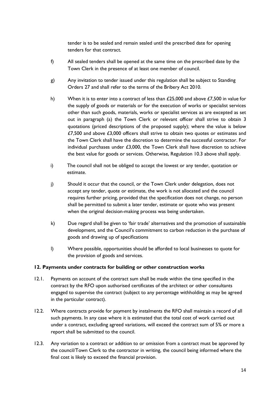tender is to be sealed and remain sealed until the prescribed date for opening tenders for that contract.

- f) All sealed tenders shall be opened at the same time on the prescribed date by the Town Clerk in the presence of at least one member of council.
- g) Any invitation to tender issued under this regulation shall be subject to Standing Orders 27 and shall refer to the terms of the Bribery Act 2010.
- h) When it is to enter into a contract of less than  $£25,000$  and above  $£7,500$  in value for the supply of goods or materials or for the execution of works or specialist services other than such goods, materials, works or specialist services as are excepted as set out in paragraph (a) the Town Clerk or relevant officer shall strive to obtain 3 quotations (priced descriptions of the proposed supply); where the value is below  $£7,500$  and above  $£3,000$  officers shall strive to obtain two quotes or estimates and the Town Clerk shall have the discretion to determine the successful contractor. For individual purchases under  $£3,000$ , the Town Clerk shall have discretion to achieve the best value for goods or services. Otherwise, Regulation 10.3 above shall apply.
- i) The council shall not be obliged to accept the lowest or any tender, quotation or estimate.
- j) Should it occur that the council, or the Town Clerk under delegation, does not accept any tender, quote or estimate, the work is not allocated and the council requires further pricing, provided that the specification does not change, no person shall be permitted to submit a later tender, estimate or quote who was present when the original decision-making process was being undertaken.
- k) Due regard shall be given to 'fair trade' alternatives and the promotion of sustainable development, and the Council's commitment to carbon reduction in the purchase of goods and drawing up of specifications
- l) Where possible, opportunities should be afforded to local businesses to quote for the provision of goods and services.

## **12. Payments under contracts for building or other construction works**

- 12.1. Payments on account of the contract sum shall be made within the time specified in the contract by the RFO upon authorised certificates of the architect or other consultants engaged to supervise the contract (subject to any percentage withholding as may be agreed in the particular contract).
- 12.2. Where contracts provide for payment by instalments the RFO shall maintain a record of all such payments. In any case where it is estimated that the total cost of work carried out under a contract, excluding agreed variations, will exceed the contract sum of 5% or more a report shall be submitted to the council.
- 12.3. Any variation to a contract or addition to or omission from a contract must be approved by the council/Town Clerk to the contractor in writing, the council being informed where the final cost is likely to exceed the financial provision.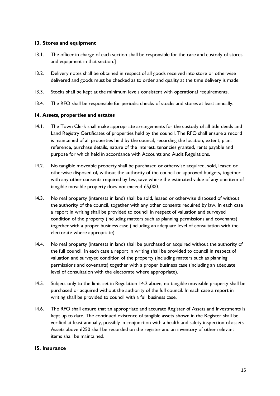## **13. Stores and equipment**

- 13.1. The officer in charge of each section shall be responsible for the care and custody of stores and equipment in that section.]
- 13.2. Delivery notes shall be obtained in respect of all goods received into store or otherwise delivered and goods must be checked as to order and quality at the time delivery is made.
- 13.3. Stocks shall be kept at the minimum levels consistent with operational requirements.
- 13.4. The RFO shall be responsible for periodic checks of stocks and stores at least annually.

#### **14. Assets, properties and estates**

- 14.1. The Town Clerk shall make appropriate arrangements for the custody of all title deeds and Land Registry Certificates of properties held by the council. The RFO shall ensure a record is maintained of all properties held by the council, recording the location, extent, plan, reference, purchase details, nature of the interest, tenancies granted, rents payable and purpose for which held in accordance with Accounts and Audit Regulations.
- 14.2. No tangible moveable property shall be purchased or otherwise acquired, sold, leased or otherwise disposed of, without the authority of the council or approved budgets, together with any other consents required by law, save where the estimated value of any one item of tangible movable property does not exceed £5,000.
- 14.3. No real property (interests in land) shall be sold, leased or otherwise disposed of without the authority of the council, together with any other consents required by law. In each case a report in writing shall be provided to council in respect of valuation and surveyed condition of the property (including matters such as planning permissions and covenants) together with a proper business case (including an adequate level of consultation with the electorate where appropriate).
- 14.4. No real property (interests in land) shall be purchased or acquired without the authority of the full council. In each case a report in writing shall be provided to council in respect of valuation and surveyed condition of the property (including matters such as planning permissions and covenants) together with a proper business case (including an adequate level of consultation with the electorate where appropriate).
- 14.5. Subject only to the limit set in Regulation 14.2 above, no tangible moveable property shall be purchased or acquired without the authority of the full council. In each case a report in writing shall be provided to council with a full business case.
- 14.6. The RFO shall ensure that an appropriate and accurate Register of Assets and Investments is kept up to date. The continued existence of tangible assets shown in the Register shall be verified at least annually, possibly in conjunction with a health and safety inspection of assets. Assets above £250 shall be recorded on the register and an inventory of other relevant items shall be maintained.

#### **15. Insurance**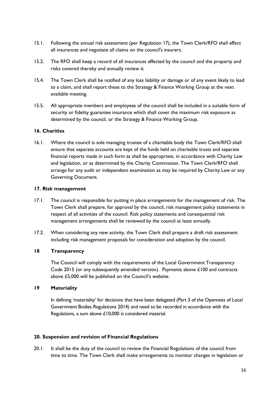- 15.1. Following the annual risk assessment (per Regulation 17), the Town Clerk/RFO shall effect all insurances and negotiate all claims on the council's insurers.
- 15.2. The RFO shall keep a record of all insurances effected by the council and the property and risks covered thereby and annually review it.
- 15.4. The Town Clerk shall be notified of any loss liability or damage or of any event likely to lead to a claim, and shall report these to the Strategy & Finance Working Group at the next available meeting.
- 15.5. All appropriate members and employees of the council shall be included in a suitable form of security or fidelity guarantee insurance which shall cover the maximum risk exposure as determined by the council, or the Strategy & Finance Working Group.

## **16. Charities**

16.1. Where the council is sole managing trustee of a charitable body the Town Clerk/RFO shall ensure that separate accounts are kept of the funds held on charitable trusts and separate financial reports made in such form as shall be appropriate, in accordance with Charity Law and legislation, or as determined by the Charity Commission. The Town Clerk/RFO shall arrange for any audit or independent examination as may be required by Charity Law or any Governing Document.

#### **17. Risk management**

- 17.1. The council is responsible for putting in place arrangements for the management of risk. The Town Clerk shall prepare, for approval by the council, risk management policy statements in respect of all activities of the council. Risk policy statements and consequential risk management arrangements shall be reviewed by the council at least annually.
- 17.2. When considering any new activity, the Town Clerk shall prepare a draft risk assessment including risk management proposals for consideration and adoption by the council.

## **18 Transparency**

The Council will comply with the requirements of the Local Government Transparency Code 2015 (or any subsequently amended version). Payments above £100 and contracts above £5,000 will be published on the Council's website.

#### **19 Materiality**

In defining 'materiality' for decisions that have been delegated (Part 3 of the Openness of Local Government Bodies Regulations 2014) and need to be recorded in accordance with the Regulations, a sum above £10,000 is considered material.

## **20. Suspension and revision of Financial Regulations**

20.1. It shall be the duty of the council to review the Financial Regulations of the council from time to time. The Town Clerk shall make arrangements to monitor changes in legislation or